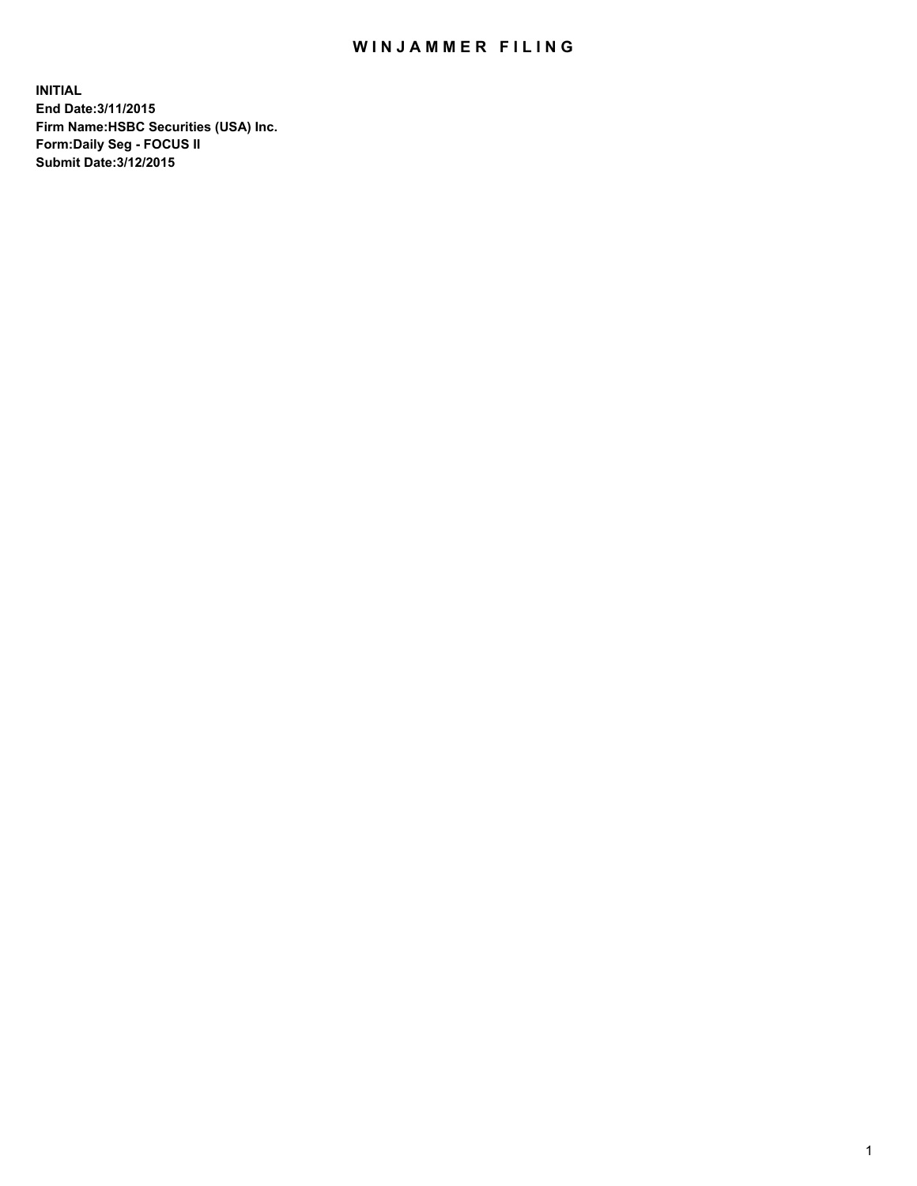## WIN JAMMER FILING

**INITIAL End Date:3/11/2015 Firm Name:HSBC Securities (USA) Inc. Form:Daily Seg - FOCUS II Submit Date:3/12/2015**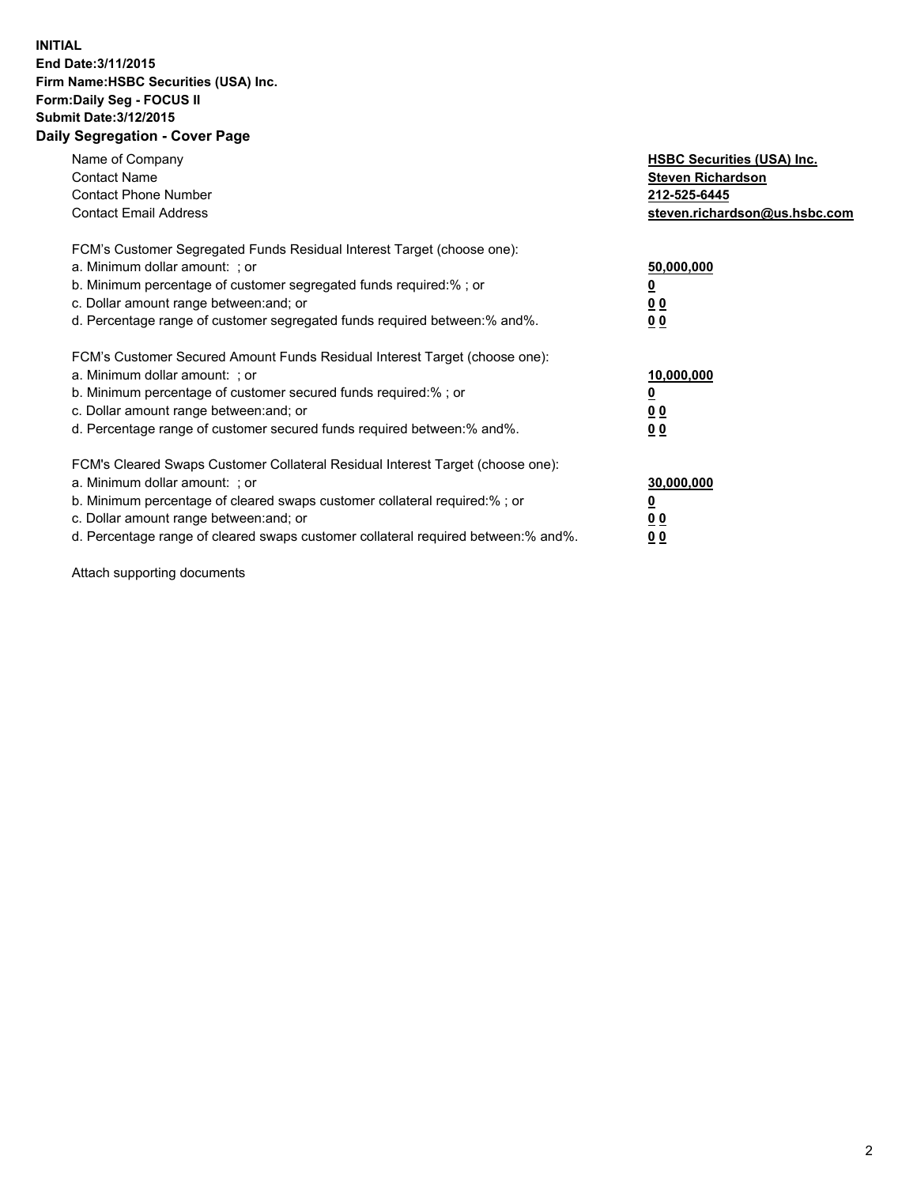## **INITIAL End Date:3/11/2015 Firm Name:HSBC Securities (USA) Inc. Form:Daily Seg - FOCUS II Submit Date:3/12/2015 Daily Segregation - Cover Page**

| Name of Company<br><b>Contact Name</b><br><b>Contact Phone Number</b><br><b>Contact Email Address</b>                                                                                                                                                                                                                          | <b>HSBC Securities (USA) Inc.</b><br><b>Steven Richardson</b><br>212-525-6445<br>steven.richardson@us.hsbc.com |
|--------------------------------------------------------------------------------------------------------------------------------------------------------------------------------------------------------------------------------------------------------------------------------------------------------------------------------|----------------------------------------------------------------------------------------------------------------|
| FCM's Customer Segregated Funds Residual Interest Target (choose one):<br>a. Minimum dollar amount: ; or<br>b. Minimum percentage of customer segregated funds required:%; or<br>c. Dollar amount range between: and; or<br>d. Percentage range of customer segregated funds required between: % and %.                        | 50,000,000<br>0 <sub>0</sub><br>0 <sub>0</sub>                                                                 |
| FCM's Customer Secured Amount Funds Residual Interest Target (choose one):<br>a. Minimum dollar amount: ; or<br>b. Minimum percentage of customer secured funds required:%; or<br>c. Dollar amount range between: and; or<br>d. Percentage range of customer secured funds required between:% and%.                            | 10,000,000<br><u>0</u><br>0 <sub>0</sub><br>0 <sub>0</sub>                                                     |
| FCM's Cleared Swaps Customer Collateral Residual Interest Target (choose one):<br>a. Minimum dollar amount: ; or<br>b. Minimum percentage of cleared swaps customer collateral required:% ; or<br>c. Dollar amount range between: and; or<br>d. Percentage range of cleared swaps customer collateral required between:% and%. | 30,000,000<br>00<br><u>00</u>                                                                                  |

Attach supporting documents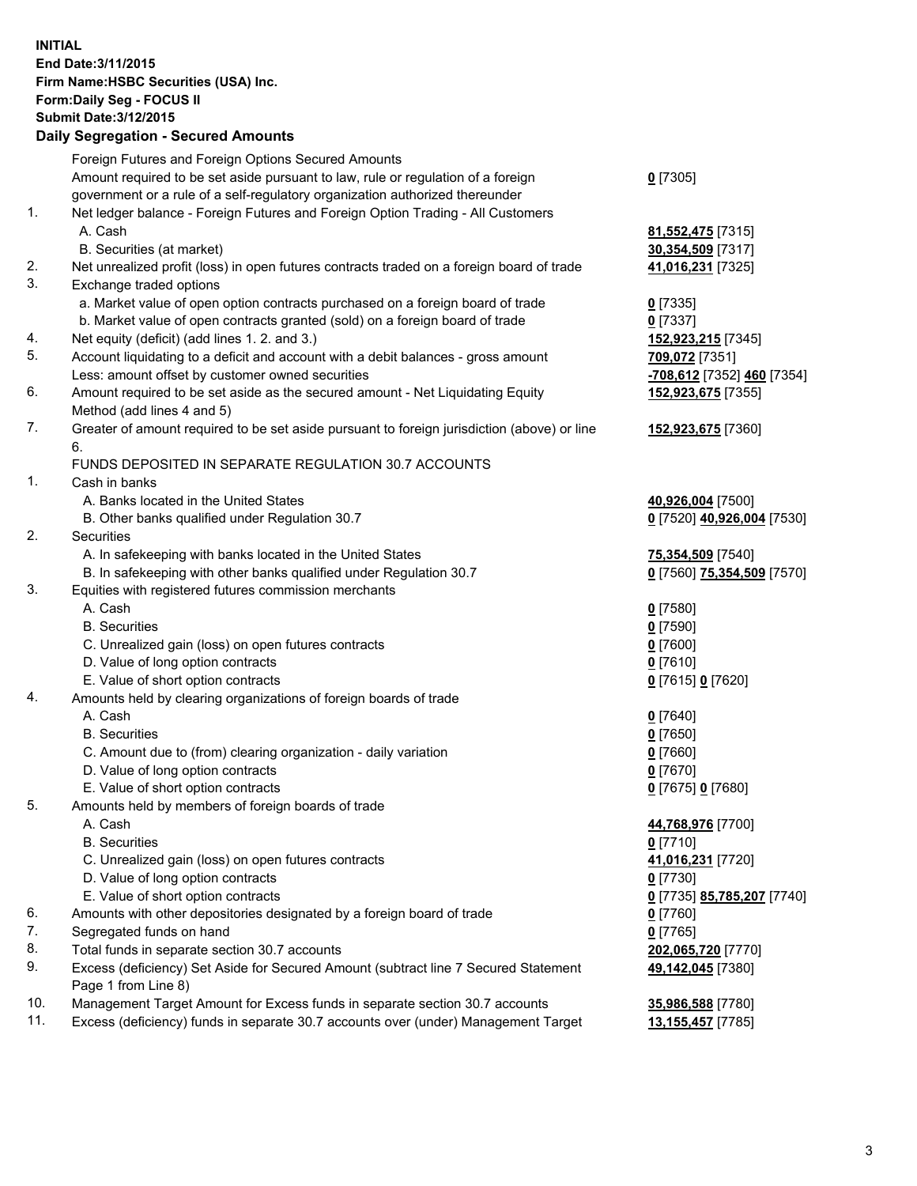**INITIAL End Date:3/11/2015 Firm Name:HSBC Securities (USA) Inc. Form:Daily Seg - FOCUS II Submit Date:3/12/2015 Daily Segregation - Secured Amounts**

Foreign Futures and Foreign Options Secured Amounts Amount required to be set aside pursuant to law, rule or regulation of a foreign government or a rule of a self-regulatory organization authorized thereunder **0** [7305] 1. Net ledger balance - Foreign Futures and Foreign Option Trading - All Customers A. Cash **81,552,475** [7315] B. Securities (at market) **30,354,509** [7317] 2. Net unrealized profit (loss) in open futures contracts traded on a foreign board of trade **41,016,231** [7325] 3. Exchange traded options a. Market value of open option contracts purchased on a foreign board of trade **0** [7335] b. Market value of open contracts granted (sold) on a foreign board of trade **0** [7337] 4. Net equity (deficit) (add lines 1. 2. and 3.) **152,923,215** [7345] 5. Account liquidating to a deficit and account with a debit balances - gross amount **709,072** [7351] Less: amount offset by customer owned securities **-708,612** [7352] **460** [7354] 6. Amount required to be set aside as the secured amount - Net Liquidating Equity Method (add lines 4 and 5) **152,923,675** [7355] 7. Greater of amount required to be set aside pursuant to foreign jurisdiction (above) or line 6. **152,923,675** [7360] FUNDS DEPOSITED IN SEPARATE REGULATION 30.7 ACCOUNTS 1. Cash in banks A. Banks located in the United States **40,926,004** [7500] B. Other banks qualified under Regulation 30.7 **0** [7520] **40,926,004** [7530] 2. Securities A. In safekeeping with banks located in the United States **75,354,509** [7540] B. In safekeeping with other banks qualified under Regulation 30.7 **0** [7560] **75,354,509** [7570] 3. Equities with registered futures commission merchants A. Cash **0** [7580] B. Securities **0** [7590] C. Unrealized gain (loss) on open futures contracts **0** [7600] D. Value of long option contracts **0** [7610] E. Value of short option contracts **0** [7615] **0** [7620] 4. Amounts held by clearing organizations of foreign boards of trade A. Cash **0** [7640] B. Securities **0** [7650] C. Amount due to (from) clearing organization - daily variation **0** [7660] D. Value of long option contracts **0** [7670] E. Value of short option contracts **0** [7675] **0** [7680] 5. Amounts held by members of foreign boards of trade A. Cash **44,768,976** [7700] B. Securities **0** [7710] C. Unrealized gain (loss) on open futures contracts **41,016,231** [7720] D. Value of long option contracts **0** [7730] E. Value of short option contracts **0** [7735] **85,785,207** [7740] 6. Amounts with other depositories designated by a foreign board of trade **0** [7760] 7. Segregated funds on hand **0** [7765] 8. Total funds in separate section 30.7 accounts **202,065,720** [7770] 9. Excess (deficiency) Set Aside for Secured Amount (subtract line 7 Secured Statement Page 1 from Line 8) **49,142,045** [7380] 10. Management Target Amount for Excess funds in separate section 30.7 accounts **35,986,588** [7780] 11. Excess (deficiency) funds in separate 30.7 accounts over (under) Management Target **13,155,457** [7785]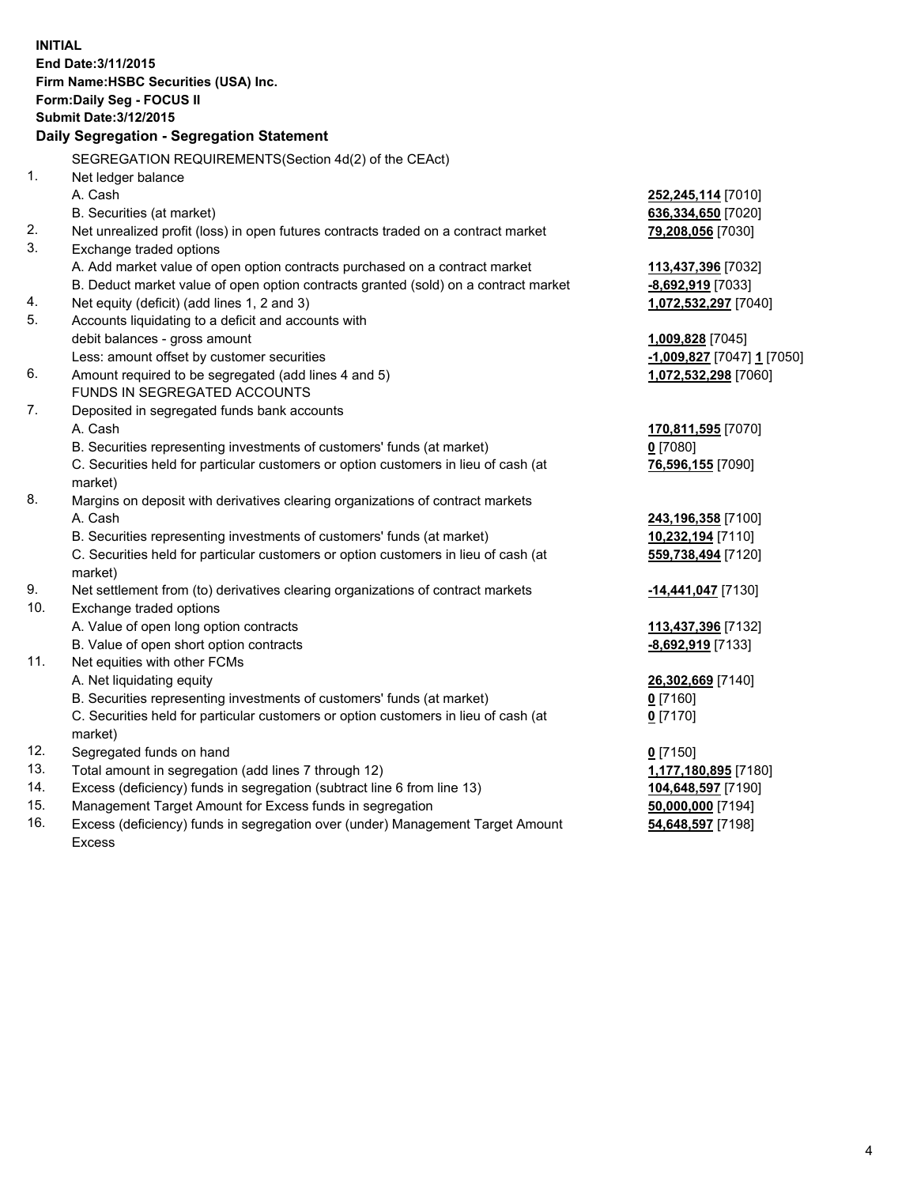| <b>INITIAL</b> | End Date: 3/11/2015<br>Firm Name: HSBC Securities (USA) Inc.<br>Form: Daily Seg - FOCUS II<br><b>Submit Date: 3/12/2015</b><br>Daily Segregation - Segregation Statement |                            |
|----------------|--------------------------------------------------------------------------------------------------------------------------------------------------------------------------|----------------------------|
|                |                                                                                                                                                                          |                            |
|                | SEGREGATION REQUIREMENTS(Section 4d(2) of the CEAct)                                                                                                                     |                            |
| 1.             | Net ledger balance                                                                                                                                                       |                            |
|                | A. Cash                                                                                                                                                                  | 252,245,114 [7010]         |
|                | B. Securities (at market)                                                                                                                                                | 636,334,650 [7020]         |
| 2.<br>3.       | Net unrealized profit (loss) in open futures contracts traded on a contract market<br>Exchange traded options                                                            | 79,208,056 [7030]          |
|                | A. Add market value of open option contracts purchased on a contract market                                                                                              | 113,437,396 [7032]         |
|                | B. Deduct market value of open option contracts granted (sold) on a contract market                                                                                      | -8,692,919 [7033]          |
| 4.             | Net equity (deficit) (add lines 1, 2 and 3)                                                                                                                              | 1,072,532,297 [7040]       |
| 5.             | Accounts liquidating to a deficit and accounts with                                                                                                                      |                            |
|                | debit balances - gross amount                                                                                                                                            | 1,009,828 [7045]           |
|                | Less: amount offset by customer securities                                                                                                                               | -1,009,827 [7047] 1 [7050] |
| 6.             | Amount required to be segregated (add lines 4 and 5)                                                                                                                     | 1,072,532,298 [7060]       |
|                | FUNDS IN SEGREGATED ACCOUNTS                                                                                                                                             |                            |
| 7.             | Deposited in segregated funds bank accounts                                                                                                                              |                            |
|                | A. Cash                                                                                                                                                                  | 170,811,595 [7070]         |
|                | B. Securities representing investments of customers' funds (at market)                                                                                                   | $0$ [7080]                 |
|                | C. Securities held for particular customers or option customers in lieu of cash (at<br>market)                                                                           | 76,596,155 [7090]          |
| 8.             | Margins on deposit with derivatives clearing organizations of contract markets                                                                                           |                            |
|                | A. Cash                                                                                                                                                                  | 243,196,358 [7100]         |
|                | B. Securities representing investments of customers' funds (at market)                                                                                                   | 10,232,194 [7110]          |
|                | C. Securities held for particular customers or option customers in lieu of cash (at                                                                                      | 559,738,494 [7120]         |
|                | market)                                                                                                                                                                  |                            |
| 9.             | Net settlement from (to) derivatives clearing organizations of contract markets                                                                                          | -14,441,047 [7130]         |
| 10.            | Exchange traded options                                                                                                                                                  |                            |
|                | A. Value of open long option contracts                                                                                                                                   | 113,437,396 [7132]         |
|                | B. Value of open short option contracts                                                                                                                                  | -8,692,919 [7133]          |
| 11.            | Net equities with other FCMs                                                                                                                                             |                            |
|                | A. Net liquidating equity                                                                                                                                                | 26,302,669 [7140]          |
|                | B. Securities representing investments of customers' funds (at market)                                                                                                   | 0 <sup>[7160]</sup>        |
|                | C. Securities held for particular customers or option customers in lieu of cash (at                                                                                      | $0$ [7170]                 |
|                | market)                                                                                                                                                                  |                            |
| 12.            | Segregated funds on hand                                                                                                                                                 | $0$ [7150]                 |
| 13.            | Total amount in segregation (add lines 7 through 12)                                                                                                                     | 1,177,180,895 [7180]       |
| 14.            | Excess (deficiency) funds in segregation (subtract line 6 from line 13)                                                                                                  | 104,648,597 [7190]         |
| 15.            | Management Target Amount for Excess funds in segregation                                                                                                                 | 50,000,000 [7194]          |
| 16.            | Excess (deficiency) funds in segregation over (under) Management Target Amount                                                                                           | 54,648,597 [7198]          |

16. Excess (deficiency) funds in segregation over (under) Management Target Amount Excess